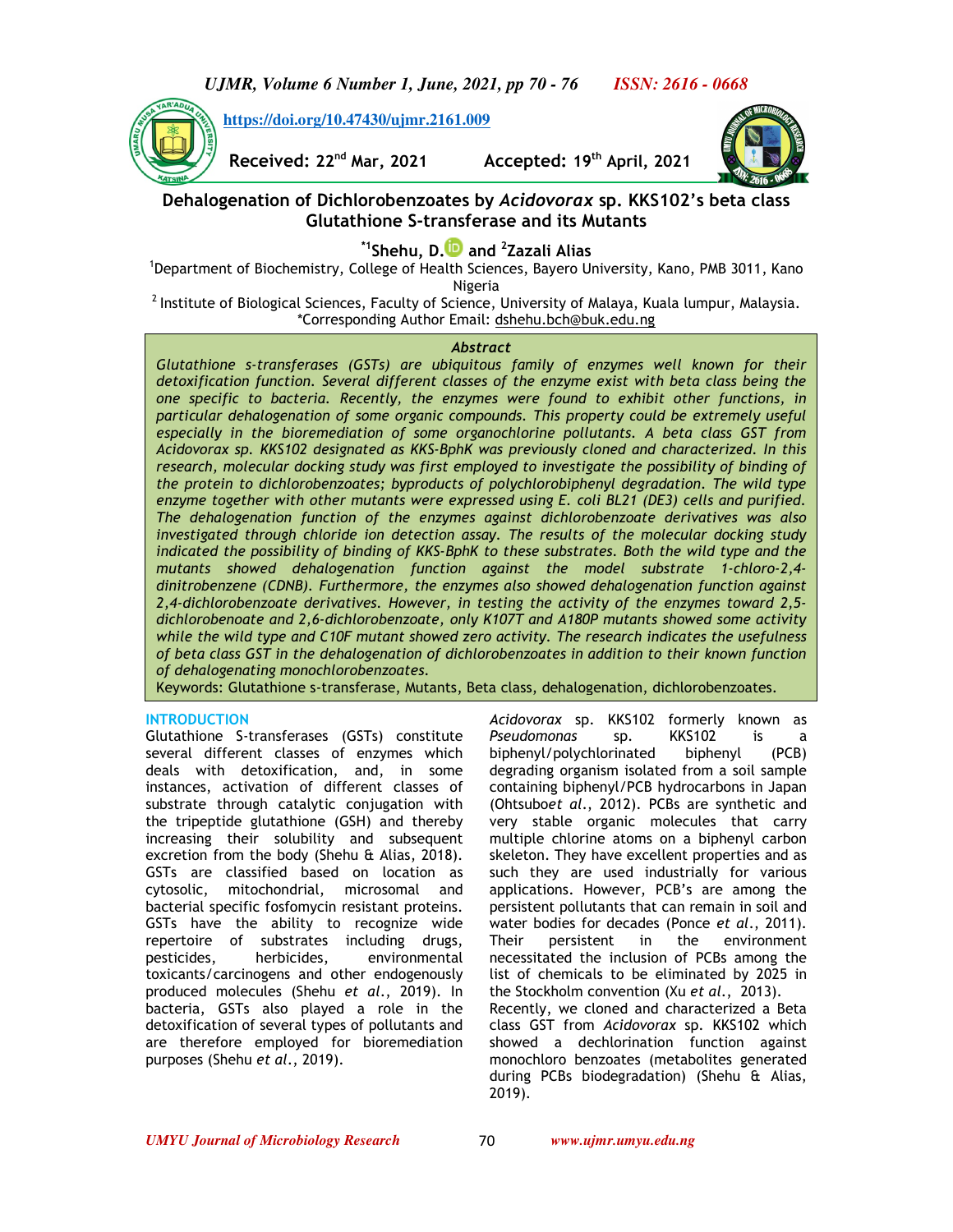*UJMR, Volume 6 Number 1, June, 2021, pp 70 - 76 ISSN: 2616 - 0668*

 **https://doi.org/10.47430/ujmr.2161.009**

**Received: 22nd Mar, 2021 Accepted: 19th April, 2021**



**Dehalogenation of Dichlorobenzoates by** *Acidovorax* **sp. KKS102's beta class Glutathione S-transferase and its Mutants** 

# **\*1Shehu, D. and <sup>2</sup> Zazali Alias**

<sup>1</sup>Department of Biochemistry, College of Health Sciences, Bayero University, Kano, PMB 3011, Kano Nigeria

 $<sup>2</sup>$  Institute of Biological Sciences, Faculty of Science, University of Malaya, Kuala lumpur, Malaysia.</sup> \*Corresponding Author Email: dshehu.bch@buk.edu.ng

## *Abstract*

*Glutathione s-transferases (GSTs) are ubiquitous family of enzymes well known for their detoxification function. Several different classes of the enzyme exist with beta class being the one specific to bacteria. Recently, the enzymes were found to exhibit other functions, in particular dehalogenation of some organic compounds. This property could be extremely useful especially in the bioremediation of some organochlorine pollutants. A beta class GST from Acidovorax sp. KKS102 designated as KKS-BphK was previously cloned and characterized. In this*  research, molecular docking study was first employed to investigate the possibility of binding of *the protein to dichlorobenzoates; byproducts of polychlorobiphenyl degradation. The wild type enzyme together with other mutants were expressed using E. coli BL21 (DE3) cells and purified. The dehalogenation function of the enzymes against dichlorobenzoate derivatives was also investigated through chloride ion detection assay. The results of the molecular docking study indicated the possibility of binding of KKS-BphK to these substrates. Both the wild type and the mutants showed dehalogenation function against the model substrate 1-chloro-2,4 dinitrobenzene (CDNB). Furthermore, the enzymes also showed dehalogenation function against 2,4-dichlorobenzoate derivatives. However, in testing the activity of the enzymes toward 2,5 dichlorobenoate and 2,6-dichlorobenzoate, only K107T and A180P mutants showed some activity while the wild type and C10F mutant showed zero activity. The research indicates the usefulness of beta class GST in the dehalogenation of dichlorobenzoates in addition to their known function of dehalogenating monochlorobenzoates.* 

Keywords: Glutathione s-transferase, Mutants, Beta class, dehalogenation, dichlorobenzoates.

## **INTRODUCTION**

Glutathione S-transferases (GSTs) constitute several different classes of enzymes which deals with detoxification, and, in some instances, activation of different classes of substrate through catalytic conjugation with the tripeptide glutathione (GSH) and thereby increasing their solubility and subsequent excretion from the body (Shehu & Alias, 2018). GSTs are classified based on location as cytosolic, mitochondrial, microsomal and bacterial specific fosfomycin resistant proteins. GSTs have the ability to recognize wide repertoire of substrates including drugs, pesticides, herbicides, environmental toxicants/carcinogens and other endogenously produced molecules (Shehu *et al*., 2019). In bacteria, GSTs also played a role in the detoxification of several types of pollutants and are therefore employed for bioremediation purposes (Shehu *et al*., 2019).

*Acidovorax* sp. KKS102 formerly known as *Pseudomonas* sp. KKS102 is<br>biphenyl/polychlorinated biphenyl biphenyl/polychlorinated biphenyl (PCB) degrading organism isolated from a soil sample containing biphenyl/PCB hydrocarbons in Japan (Ohtsubo*et al*., 2012). PCBs are synthetic and very stable organic molecules that carry multiple chlorine atoms on a biphenyl carbon skeleton. They have excellent properties and as such they are used industrially for various applications. However, PCB's are among the persistent pollutants that can remain in soil and water bodies for decades (Ponce *et al*., 2011). Their persistent in the environment necessitated the inclusion of PCBs among the list of chemicals to be eliminated by 2025 in the Stockholm convention (Xu *et al*., 2013). Recently, we cloned and characterized a Beta class GST from *Acidovorax* sp. KKS102 which showed a dechlorination function against monochloro benzoates (metabolites generated during PCBs biodegradation) (Shehu & Alias, 2019).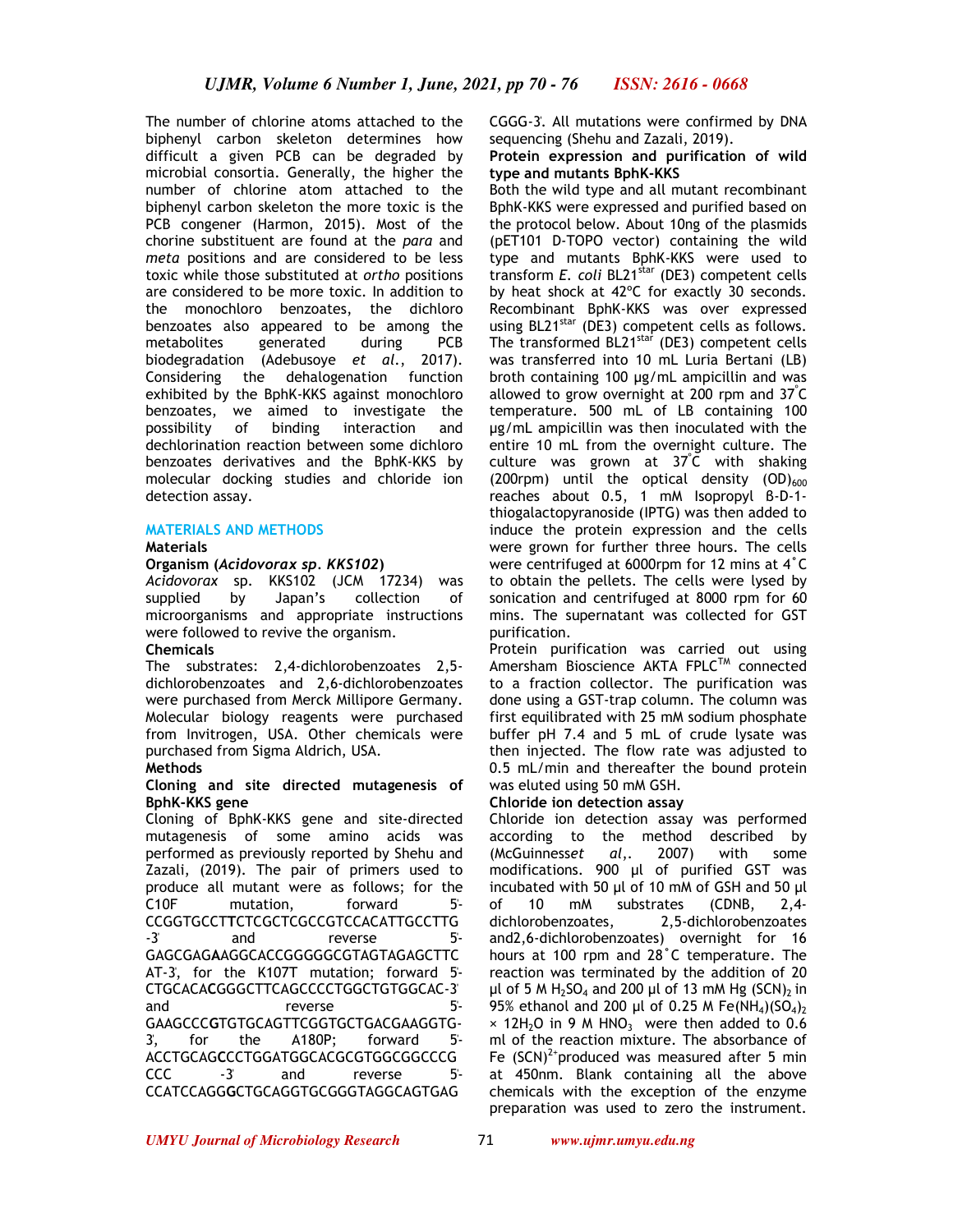The number of chlorine atoms attached to the biphenyl carbon skeleton determines how difficult a given PCB can be degraded by microbial consortia. Generally, the higher the number of chlorine atom attached to the biphenyl carbon skeleton the more toxic is the PCB congener (Harmon, 2015). Most of the chorine substituent are found at the *para* and *meta* positions and are considered to be less toxic while those substituted at *ortho* positions are considered to be more toxic. In addition to the monochloro benzoates, the dichloro benzoates also appeared to be among the<br>metabolites generated during PCB metabolites generated during biodegradation (Adebusoye *et al*., 2017). Considering the dehalogenation function exhibited by the BphK-KKS against monochloro benzoates, we aimed to investigate the<br>possibility of binding interaction and possibility of binding interaction and dechlorination reaction between some dichloro benzoates derivatives and the BphK-KKS by molecular docking studies and chloride ion detection assay.

# **MATERIALS AND METHODS**

# **Materials**

## **Organism (***Acidovorax sp. KKS102***)**

*Acidovorax* sp. KKS102 (JCM 17234) was supplied by Japan's collection of microorganisms and appropriate instructions were followed to revive the organism.

## **Chemicals**

The substrates: 2,4-dichlorobenzoates 2,5 dichlorobenzoates and 2,6-dichlorobenzoates were purchased from Merck Millipore Germany. Molecular biology reagents were purchased from Invitrogen, USA. Other chemicals were purchased from Sigma Aldrich, USA.

# **Methods**

## **Cloning and site directed mutagenesis of BphK-KKS gene**

Cloning of BphK-KKS gene and site-directed mutagenesis of some amino acids was performed as previously reported by Shehu and Zazali, (2019). The pair of primers used to produce all mutant were as follows; for the C10F mutation, forward 5-CCGGTGCCT**T**CTCGCTCGCCGTCCACATTGCCTTG -3<sup>o</sup> and reverse 5<sup>-</sup> GAGCGAG**A**AGGCACCGGGGGCGTAGTAGAGCTTC AT-3̍, for the K107T mutation; forward 5̍- CTGCACA**C**GGGCTTCAGCCCCTGGCTGTGGCAC-3̍ and reverse 5<sup>-</sup> GAAGCCC**G**TGTGCAGTTCGGTGCTGACGAAGGTG-3, for the A180P; forward 5 -ACCTGCAG**C**CCTGGATGGCACGCGTGGCGGCCCG CCC -3̍ and reverse 5̍- CCATCCAGG**G**CTGCAGGTGCGGGTAGGCAGTGAG

CGGG-3̍. All mutations were confirmed by DNA sequencing (Shehu and Zazali, 2019).

## **Protein expression and purification of wild type and mutants BphK-KKS**

Both the wild type and all mutant recombinant BphK-KKS were expressed and purified based on the protocol below. About 10ng of the plasmids (pET101 D-TOPO vector) containing the wild type and mutants BphK-KKS were used to transform *E. coli* BL21star (DE3) competent cells by heat shock at 42ºC for exactly 30 seconds. Recombinant BphK-KKS was over expressed using BL21<sup>star</sup> (DE3) competent cells as follows. The transformed BL21<sup>star</sup> (DE3) competent cells was transferred into 10 mL Luria Bertani (LB) broth containing 100 µg/mL ampicillin and was allowed to grow overnight at 200 rpm and 37<sup>º</sup> C temperature. 500 mL of LB containing 100 µg/mL ampicillin was then inoculated with the entire 10 mL from the overnight culture. The culture was grown at 37<sup>º</sup> C with shaking (200rpm) until the optical density  $(OD)_{600}$ reaches about 0.5, 1 mM Isopropyl β-D-1 thiogalactopyranoside (IPTG) was then added to induce the protein expression and the cells were grown for further three hours. The cells were centrifuged at 6000rpm for 12 mins at 4˚C to obtain the pellets. The cells were lysed by sonication and centrifuged at 8000 rpm for 60 mins. The supernatant was collected for GST purification.

Protein purification was carried out using Amersham Bioscience AKTA FPLC™ connected to a fraction collector. The purification was done using a GST-trap column. The column was first equilibrated with 25 mM sodium phosphate buffer pH 7.4 and 5 mL of crude lysate was then injected. The flow rate was adjusted to 0.5 mL/min and thereafter the bound protein was eluted using 50 mM GSH.

## **Chloride ion detection assay**

Chloride ion detection assay was performed according to the method described by (McGuinness*et al*,. 2007) with some modifications. 900 µl of purified GST was incubated with 50 µl of 10 mM of GSH and 50 µl of 10 mM substrates (CDNB, 2,4 dichlorobenzoates, 2,5-dichlorobenzoates and2,6-dichlorobenzoates) overnight for 16 hours at 100 rpm and 28˚C temperature. The reaction was terminated by the addition of 20  $\mu$ l of 5 M H<sub>2</sub>SO<sub>4</sub> and 200  $\mu$ l of 13 mM Hg (SCN)<sub>2</sub> in 95% ethanol and 200 µl of 0.25 M Fe(NH<sub>4</sub>)(SO<sub>4</sub>)<sub>2</sub>  $\times$  12H<sub>2</sub>O in 9 M HNO<sub>3</sub> were then added to 0.6 ml of the reaction mixture. The absorbance of Fe  $(SCN)^{2+}$ produced was measured after 5 min at 450nm. Blank containing all the above chemicals with the exception of the enzyme preparation was used to zero the instrument.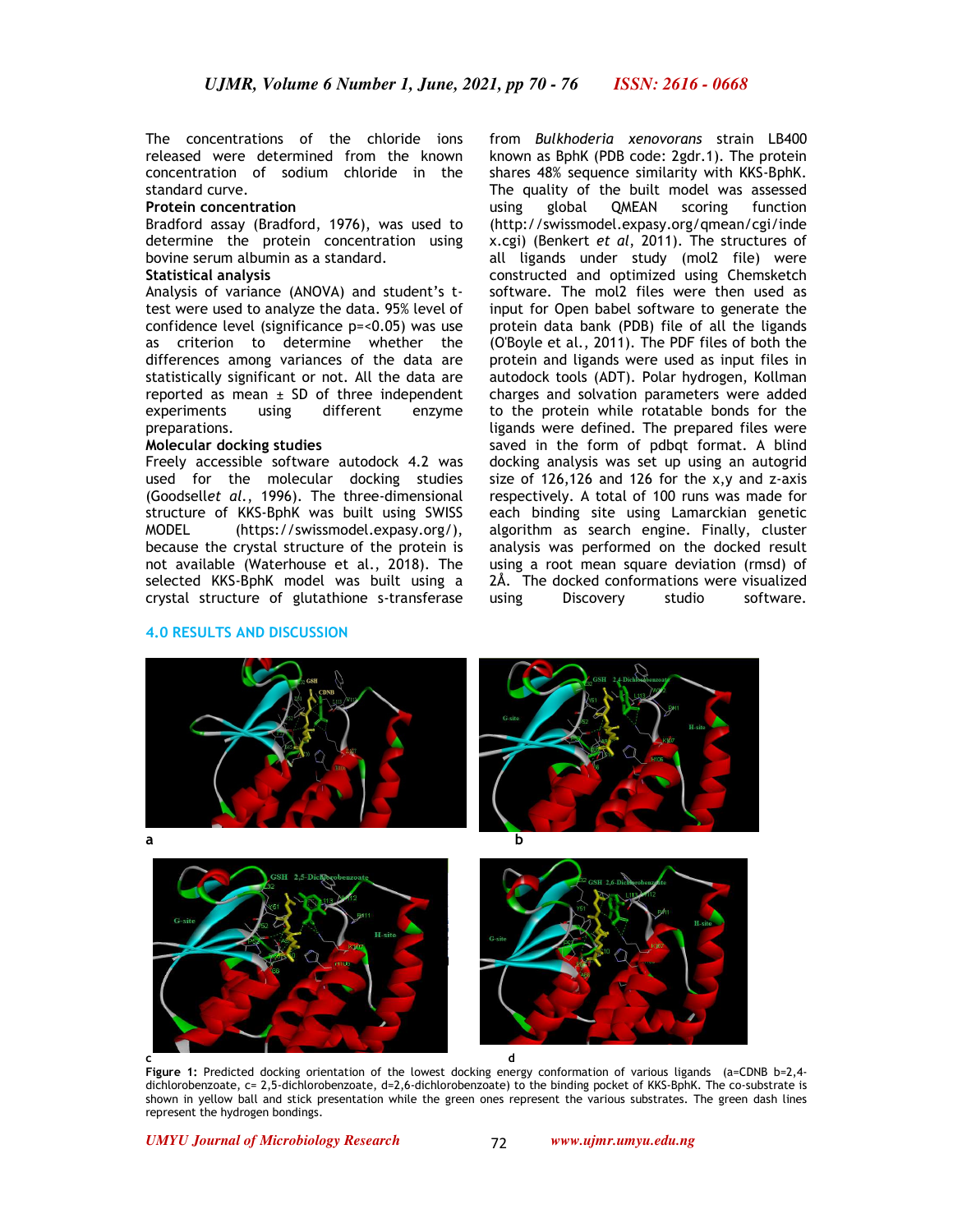The concentrations of the chloride ions released were determined from the known concentration of sodium chloride in the standard curve.

#### **Protein concentration**

Bradford assay (Bradford, 1976), was used to determine the protein concentration using bovine serum albumin as a standard.

## **Statistical analysis**

Analysis of variance (ANOVA) and student's ttest were used to analyze the data. 95% level of confidence level (significance p=<0.05) was use as criterion to determine whether the differences among variances of the data are statistically significant or not. All the data are reported as mean  $\pm$  SD of three independent experiments using different enzyme preparations.

## **Molecular docking studies**

Freely accessible software autodock 4.2 was used for the molecular docking studies (Goodsell*et al.*, 1996). The three-dimensional structure of KKS-BphK was built using SWISS MODEL (https://swissmodel.expasy.org/), because the crystal structure of the protein is not available (Waterhouse et al., 2018). The selected KKS-BphK model was built using a crystal structure of glutathione s-transferase

from *Bulkhoderia xenovorans* strain LB400 known as BphK (PDB code: 2gdr.1). The protein shares 48% sequence similarity with KKS-BphK. The quality of the built model was assessed<br>using global QMEAN scoring function using global QMEAN scoring function (http://swissmodel.expasy.org/qmean/cgi/inde x.cgi) (Benkert *et al*, 2011). The structures of all ligands under study (mol2 file) were constructed and optimized using Chemsketch software. The mol2 files were then used as input for Open babel software to generate the protein data bank (PDB) file of all the ligands (O'Boyle et al., 2011). The PDF files of both the protein and ligands were used as input files in autodock tools (ADT). Polar hydrogen, Kollman charges and solvation parameters were added to the protein while rotatable bonds for the ligands were defined. The prepared files were saved in the form of pdbqt format. A blind docking analysis was set up using an autogrid size of 126,126 and 126 for the x,y and z-axis respectively. A total of 100 runs was made for each binding site using Lamarckian genetic algorithm as search engine. Finally, cluster analysis was performed on the docked result using a root mean square deviation (rmsd) of 2Å. The docked conformations were visualized using Discovery studio software.

#### **4.0 RESULTS AND DISCUSSION**



**Figure 1:** Predicted docking orientation of the lowest docking energy conformation of various ligands (a=CDNB b=2,4 dichlorobenzoate, c= 2,5-dichlorobenzoate, d=2,6-dichlorobenzoate) to the binding pocket of KKS-BphK. The co-substrate is shown in yellow ball and stick presentation while the green ones represent the various substrates. The green dash lines represent the hydrogen bondings.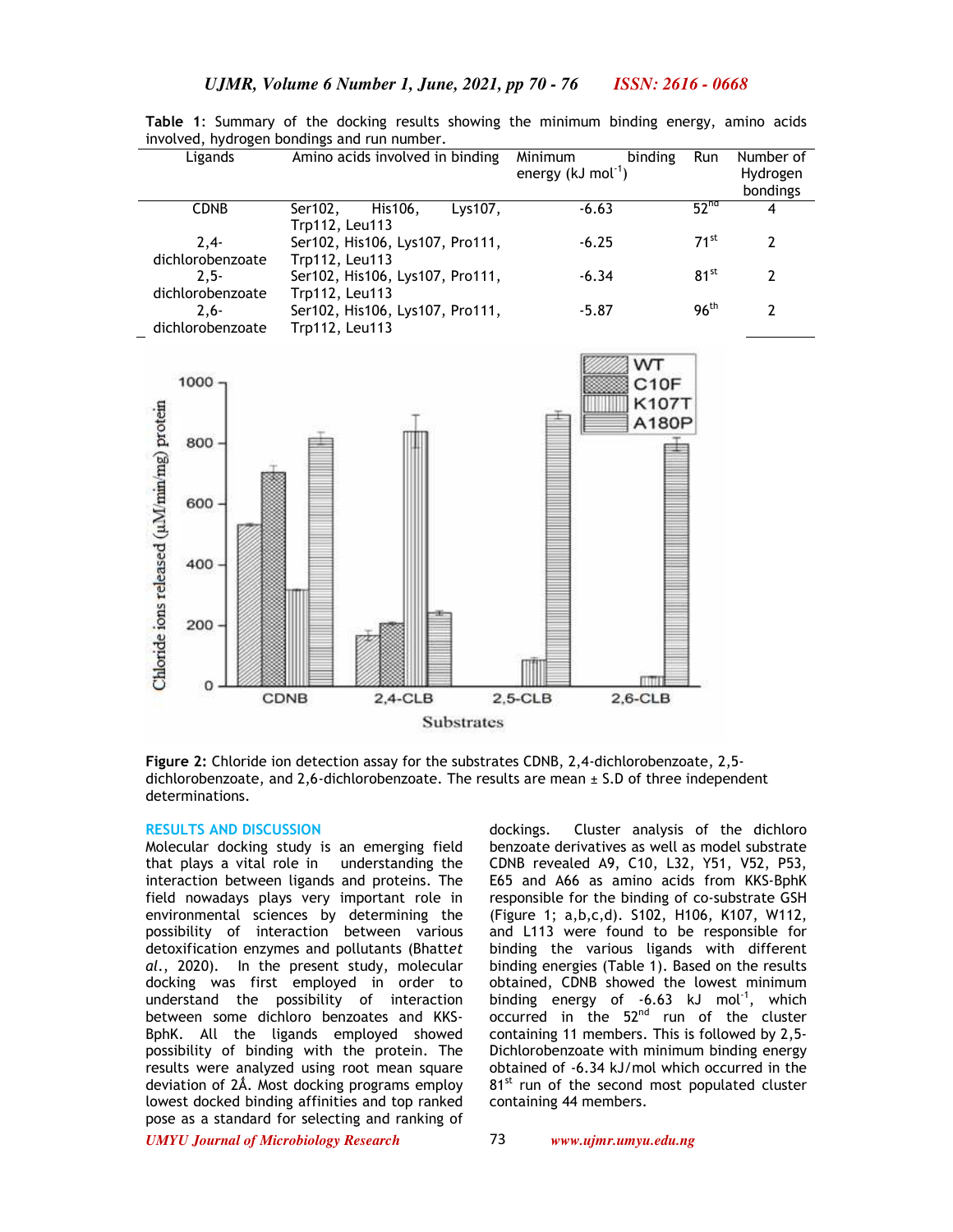| Ligands          | Amino acids involved in binding |                                 | Minimum | binding                        | Run | Number of        |          |
|------------------|---------------------------------|---------------------------------|---------|--------------------------------|-----|------------------|----------|
|                  |                                 |                                 |         | energy $(kJ \text{ mol}^{-1})$ |     |                  | Hydrogen |
|                  |                                 |                                 |         |                                |     |                  | bondings |
| <b>CDNB</b>      | Ser102.                         | His 106.                        | Lys107. | $-6.63$                        |     | 52 <sup>nd</sup> | 4        |
|                  | Trp112, Leu113                  |                                 |         |                                |     |                  |          |
| $2.4 -$          |                                 | Ser102, His106, Lys107, Pro111, |         | $-6.25$                        |     | $71^{st}$        | 2        |
| dichlorobenzoate | Trp112, Leu113                  |                                 |         |                                |     |                  |          |
| $2.5 -$          |                                 | Ser102, His106, Lys107, Pro111, |         | $-6.34$                        |     | 81 <sup>st</sup> | 2        |
| dichlorobenzoate | Trp112, Leu113                  |                                 |         |                                |     |                  |          |
| $2.6 -$          |                                 | Ser102, His106, Lys107, Pro111, |         | $-5.87$                        |     | 96 <sup>th</sup> | 2        |
| dichlorobenzoate | Trp112, Leu113                  |                                 |         |                                |     |                  |          |

**Table 1**: Summary of the docking results showing the minimum binding energy, amino acids involved, hydrogen bondings and run number.



**Figure 2:** Chloride ion detection assay for the substrates CDNB, 2,4-dichlorobenzoate, 2,5 dichlorobenzoate, and 2,6-dichlorobenzoate. The results are mean ± S.D of three independent determinations.

#### **RESULTS AND DISCUSSION**

Molecular docking study is an emerging field that plays a vital role in understanding the interaction between ligands and proteins. The field nowadays plays very important role in environmental sciences by determining the possibility of interaction between various detoxification enzymes and pollutants (Bhatt*et al*., 2020). In the present study, molecular docking was first employed in order to understand the possibility of interaction between some dichloro benzoates and KKS-BphK. All the ligands employed showed possibility of binding with the protein. The results were analyzed using root mean square deviation of 2Å. Most docking programs employ lowest docked binding affinities and top ranked pose as a standard for selecting and ranking of

dockings. Cluster analysis of the dichloro benzoate derivatives as well as model substrate CDNB revealed A9, C10, L32, Y51, V52, P53, E65 and A66 as amino acids from KKS-BphK responsible for the binding of co-substrate GSH (Figure 1; a,b,c,d). S102, H106, K107, W112, and L113 were found to be responsible for binding the various ligands with different binding energies (Table 1). Based on the results obtained, CDNB showed the lowest minimum binding energy of  $-6.63$  kJ mol<sup>-1</sup>, which occurred in the  $52<sup>nd</sup>$  run of the cluster containing 11 members. This is followed by 2,5- Dichlorobenzoate with minimum binding energy obtained of -6.34 kJ/mol which occurred in the  $81<sup>st</sup>$  run of the second most populated cluster containing 44 members.

*UMYU Journal of Microbiology Research www.ujmr.umyu.edu.ng*

73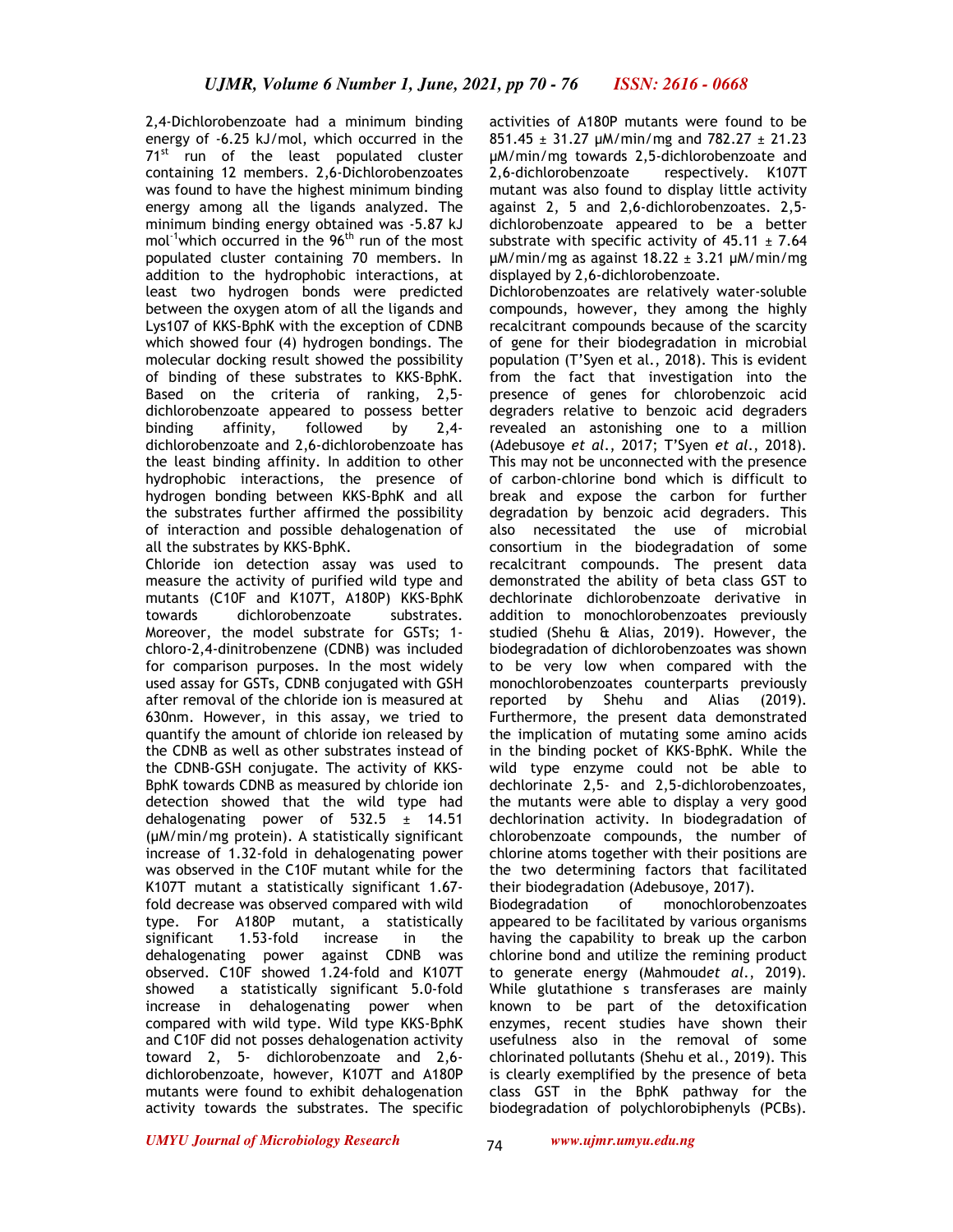2,4-Dichlorobenzoate had a minimum binding energy of -6.25 kJ/mol, which occurred in the 71<sup>st</sup> run of the least populated cluster containing 12 members. 2,6-Dichlorobenzoates was found to have the highest minimum binding energy among all the ligands analyzed. The minimum binding energy obtained was -5.87 kJ mol<sup>-1</sup>which occurred in the 96<sup>th</sup> run of the most populated cluster containing 70 members. In addition to the hydrophobic interactions, at least two hydrogen bonds were predicted between the oxygen atom of all the ligands and Lys107 of KKS-BphK with the exception of CDNB which showed four (4) hydrogen bondings. The molecular docking result showed the possibility of binding of these substrates to KKS-BphK. Based on the criteria of ranking, 2,5 dichlorobenzoate appeared to possess better binding affinity, followed by 2,4 dichlorobenzoate and 2,6-dichlorobenzoate has the least binding affinity. In addition to other hydrophobic interactions, the presence of hydrogen bonding between KKS-BphK and all the substrates further affirmed the possibility of interaction and possible dehalogenation of all the substrates by KKS-BphK.

Chloride ion detection assay was used to measure the activity of purified wild type and mutants (C10F and K107T, A180P) KKS-BphK towards dichlorobenzoate substrates. Moreover, the model substrate for GSTs; 1 chloro-2,4-dinitrobenzene (CDNB) was included for comparison purposes. In the most widely used assay for GSTs, CDNB conjugated with GSH after removal of the chloride ion is measured at 630nm. However, in this assay, we tried to quantify the amount of chloride ion released by the CDNB as well as other substrates instead of the CDNB-GSH conjugate. The activity of KKS-BphK towards CDNB as measured by chloride ion detection showed that the wild type had dehalogenating power of  $532.5 \pm 14.51$ (µM/min/mg protein). A statistically significant increase of 1.32-fold in dehalogenating power was observed in the C10F mutant while for the K107T mutant a statistically significant 1.67 fold decrease was observed compared with wild type. For A180P mutant, a statistically significant 1.53-fold increase in the dehalogenating power against CDNB was observed. C10F showed 1.24-fold and K107T showed a statistically significant 5.0-fold increase in dehalogenating power when compared with wild type. Wild type KKS-BphK and C10F did not posses dehalogenation activity toward 2, 5- dichlorobenzoate and 2,6 dichlorobenzoate, however, K107T and A180P mutants were found to exhibit dehalogenation activity towards the substrates. The specific

activities of A180P mutants were found to be  $851.45 \pm 31.27 \mu M/min/mg$  and  $782.27 \pm 21.23$ µM/min/mg towards 2,5-dichlorobenzoate and 2,6-dichlorobenzoate respectively. K107T mutant was also found to display little activity against 2, 5 and 2,6-dichlorobenzoates. 2,5 dichlorobenzoate appeared to be a better substrate with specific activity of  $45.11 \pm 7.64$  $\mu$ M/min/mg as against 18.22  $\pm$  3.21  $\mu$ M/min/mg displayed by 2,6-dichlorobenzoate.

Dichlorobenzoates are relatively water-soluble compounds, however, they among the highly recalcitrant compounds because of the scarcity of gene for their biodegradation in microbial population (T'Syen et al., 2018). This is evident from the fact that investigation into the presence of genes for chlorobenzoic acid degraders relative to benzoic acid degraders revealed an astonishing one to a million (Adebusoye *et al*., 2017; T'Syen *et al*., 2018). This may not be unconnected with the presence of carbon-chlorine bond which is difficult to break and expose the carbon for further degradation by benzoic acid degraders. This also necessitated the use of microbial consortium in the biodegradation of some recalcitrant compounds. The present data demonstrated the ability of beta class GST to dechlorinate dichlorobenzoate derivative in addition to monochlorobenzoates previously studied (Shehu & Alias, 2019). However, the biodegradation of dichlorobenzoates was shown to be very low when compared with the monochlorobenzoates counterparts previously reported by Shehu and Alias (2019). Furthermore, the present data demonstrated the implication of mutating some amino acids in the binding pocket of KKS-BphK. While the wild type enzyme could not be able to dechlorinate 2,5- and 2,5-dichlorobenzoates, the mutants were able to display a very good dechlorination activity. In biodegradation of chlorobenzoate compounds, the number of chlorine atoms together with their positions are the two determining factors that facilitated their biodegradation (Adebusoye, 2017).

Biodegradation of monochlorobenzoates appeared to be facilitated by various organisms having the capability to break up the carbon chlorine bond and utilize the remining product to generate energy (Mahmoud*et al*., 2019). While glutathione s transferases are mainly known to be part of the detoxification enzymes, recent studies have shown their usefulness also in the removal of some chlorinated pollutants (Shehu et al., 2019). This is clearly exemplified by the presence of beta class GST in the BphK pathway for the biodegradation of polychlorobiphenyls (PCBs).

*UMYU Journal of Microbiology Research www.ujmr.umyu.edu.ng*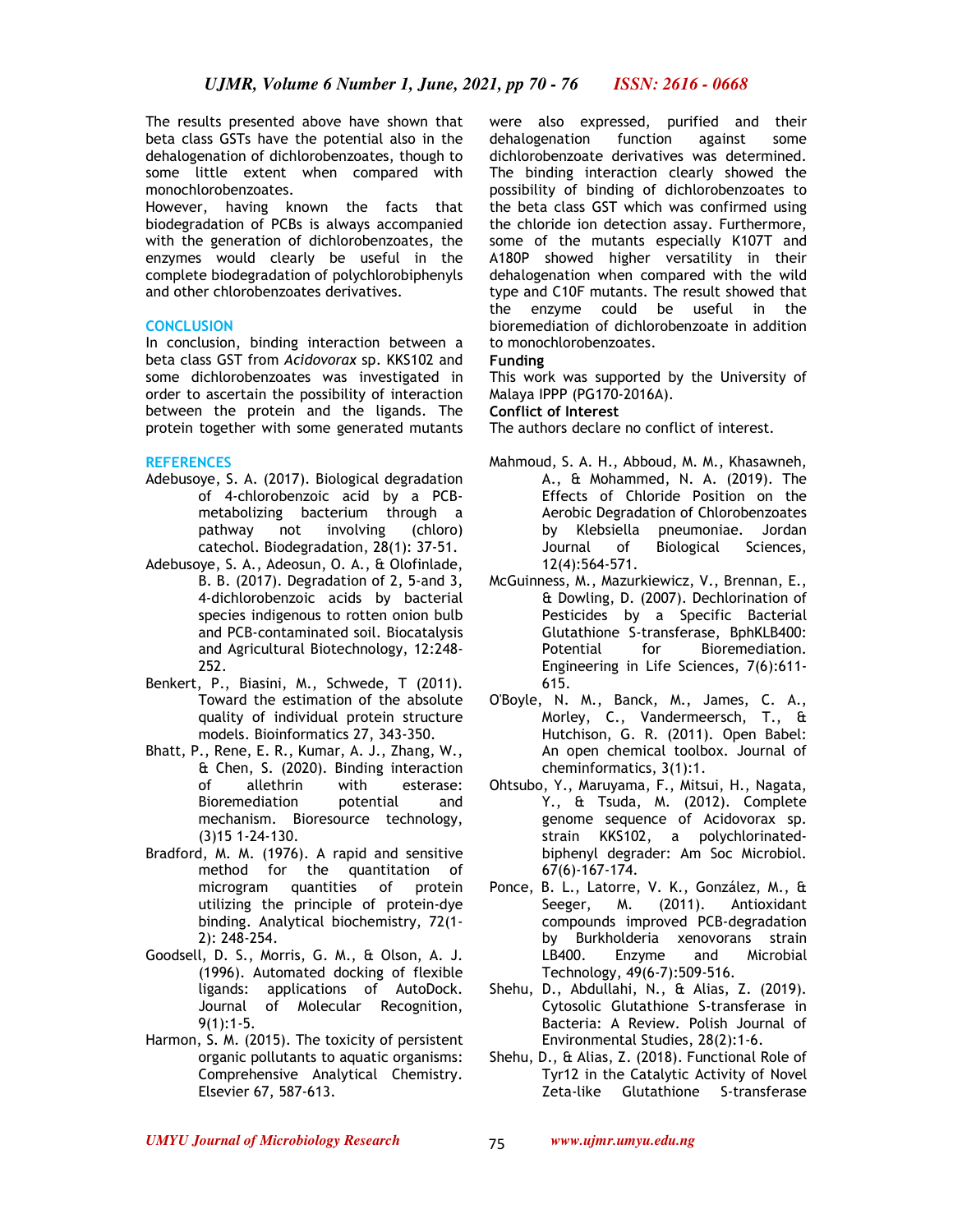The results presented above have shown that beta class GSTs have the potential also in the dehalogenation of dichlorobenzoates, though to some little extent when compared with monochlorobenzoates.

However, having known the facts that biodegradation of PCBs is always accompanied with the generation of dichlorobenzoates, the enzymes would clearly be useful in the complete biodegradation of polychlorobiphenyls and other chlorobenzoates derivatives.

## **CONCLUSION**

In conclusion, binding interaction between a beta class GST from *Acidovorax* sp. KKS102 and some dichlorobenzoates was investigated in order to ascertain the possibility of interaction between the protein and the ligands. The protein together with some generated mutants

#### **REFERENCES**

- Adebusoye, S. A. (2017). Biological degradation of 4-chlorobenzoic acid by a PCBmetabolizing bacterium through a pathway not involving (chloro) catechol. Biodegradation, 28(1): 37-51.
- Adebusoye, S. A., Adeosun, O. A., & Olofinlade, B. B. (2017). Degradation of 2, 5-and 3, 4-dichlorobenzoic acids by bacterial species indigenous to rotten onion bulb and PCB-contaminated soil. Biocatalysis and Agricultural Biotechnology, 12:248- 252.
- Benkert, P., Biasini, M., Schwede, T (2011). Toward the estimation of the absolute quality of individual protein structure models. Bioinformatics 27, 343-350.
- Bhatt, P., Rene, E. R., Kumar, A. J., Zhang, W., & Chen, S. (2020). Binding interaction of allethrin with esterase: Bioremediation potential and mechanism. Bioresource technology, (3)15 1-24-130.
- Bradford, M. M. (1976). A rapid and sensitive method for the quantitation of microgram quantities of protein utilizing the principle of protein-dye binding. Analytical biochemistry, 72(1- 2): 248-254.
- Goodsell, D. S., Morris, G. M., & Olson, A. J. (1996). Automated docking of flexible ligands: applications of AutoDock. Journal of Molecular Recognition,  $9(1):1-5.$
- Harmon, S. M. (2015). The toxicity of persistent organic pollutants to aquatic organisms: Comprehensive Analytical Chemistry. Elsevier 67, 587-613.

were also expressed, purified and their dehalogenation function against some dichlorobenzoate derivatives was determined. The binding interaction clearly showed the possibility of binding of dichlorobenzoates to the beta class GST which was confirmed using the chloride ion detection assay. Furthermore, some of the mutants especially K107T and A180P showed higher versatility in their dehalogenation when compared with the wild type and C10F mutants. The result showed that the enzyme could be useful in the bioremediation of dichlorobenzoate in addition to monochlorobenzoates.

## **Funding**

This work was supported by the University of Malaya IPPP (PG170-2016A).

**Conflict of Interest** 

The authors declare no conflict of interest.

- Mahmoud, S. A. H., Abboud, M. M., Khasawneh, A., & Mohammed, N. A. (2019). The Effects of Chloride Position on the Aerobic Degradation of Chlorobenzoates by Klebsiella pneumoniae. Jordan<br>Journal of Biological Sciences, Journal of Biological Sciences, 12(4):564-571.
- McGuinness, M., Mazurkiewicz, V., Brennan, E., & Dowling, D. (2007). Dechlorination of Pesticides by a Specific Bacterial Glutathione S-transferase, BphKLB400: Potential for Bioremediation. Engineering in Life Sciences, 7(6):611- 615.
- O'Boyle, N. M., Banck, M., James, C. A., Morley, C., Vandermeersch, T., & Hutchison, G. R. (2011). Open Babel: An open chemical toolbox. Journal of cheminformatics, 3(1):1.
- Ohtsubo, Y., Maruyama, F., Mitsui, H., Nagata, Y., & Tsuda, M. (2012). Complete genome sequence of Acidovorax sp. strain KKS102, a polychlorinatedbiphenyl degrader: Am Soc Microbiol. 67(6)-167-174.
- Ponce, B. L., Latorre, V. K., González, M., & Seeger, M. (2011). Antioxidant compounds improved PCB-degradation by Burkholderia xenovorans strain LB400. Enzyme and Microbial Technology, 49(6-7):509-516.
- Shehu, D., Abdullahi, N., & Alias, Z. (2019). Cytosolic Glutathione S-transferase in Bacteria: A Review. Polish Journal of Environmental Studies, 28(2):1-6.
- Shehu, D., & Alias, Z. (2018). Functional Role of Tyr12 in the Catalytic Activity of Novel Zeta-like Glutathione S-transferase

75